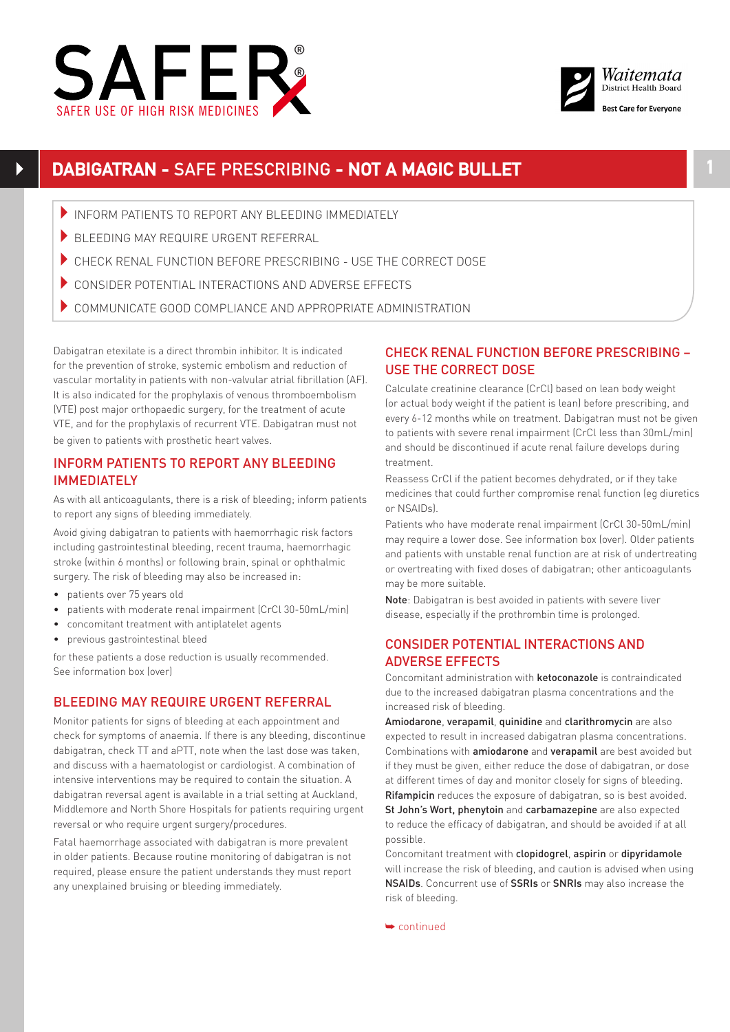



# **DABIGATRAN -** SAFE PRESCRIBING **- NOT A MAGIC BULLET 1**

- INFORM PATIENTS TO REPORT ANY BLEEDING IMMEDIATELY
- BLEEDING MAY REQUIRE URGENT REFERRAL
- CHECK RENAL FUNCTION BEFORE PRESCRIBING USE THE CORRECT DOSE
- 4CONSIDER POTENTIAL INTERACTIONS AND ADVERSE EFFECTS
- $\blacktriangleright$  COMMUNICATE GOOD COMPLIANCE AND APPROPRIATE ADMINISTRATION

Dabigatran etexilate is a direct thrombin inhibitor. It is indicated for the prevention of stroke, systemic embolism and reduction of vascular mortality in patients with non-valvular atrial fibrillation (AF). It is also indicated for the prophylaxis of venous thromboembolism (VTE) post major orthopaedic surgery, for the treatment of acute VTE, and for the prophylaxis of recurrent VTE. Dabigatran must not be given to patients with prosthetic heart valves.

## INFORM PATIENTS TO REPORT ANY BLEEDING IMMEDIATELY

As with all anticoagulants, there is a risk of bleeding; inform patients to report any signs of bleeding immediately.

Avoid giving dabigatran to patients with haemorrhagic risk factors including gastrointestinal bleeding, recent trauma, haemorrhagic stroke (within 6 months) or following brain, spinal or ophthalmic surgery. The risk of bleeding may also be increased in:

- patients over 75 years old
- patients with moderate renal impairment (CrCl 30-50mL/min)
- concomitant treatment with antiplatelet agents
- previous gastrointestinal bleed

for these patients a dose reduction is usually recommended. See information box (over)

### BLEEDING MAY REQUIRE URGENT REFERRAL

Monitor patients for signs of bleeding at each appointment and check for symptoms of anaemia. If there is any bleeding, discontinue dabigatran, check TT and aPTT, note when the last dose was taken, and discuss with a haematologist or cardiologist. A combination of intensive interventions may be required to contain the situation. A dabigatran reversal agent is available in a trial setting at Auckland, Middlemore and North Shore Hospitals for patients requiring urgent reversal or who require urgent surgery/procedures.

Fatal haemorrhage associated with dabigatran is more prevalent in older patients. Because routine monitoring of dabigatran is not required, please ensure the patient understands they must report any unexplained bruising or bleeding immediately.

## CHECK RENAL FUNCTION BEFORE PRESCRIBING – USE THE CORRECT DOSE

Calculate creatinine clearance (CrCl) based on lean body weight (or actual body weight if the patient is lean) before prescribing, and every 6-12 months while on treatment. Dabigatran must not be given to patients with severe renal impairment (CrCl less than 30mL/min) and should be discontinued if acute renal failure develops during treatment.

Reassess CrCl if the patient becomes dehydrated, or if they take medicines that could further compromise renal function (eg diuretics or NSAIDs).

Patients who have moderate renal impairment (CrCl 30-50mL/min) may require a lower dose. See information box (over). Older patients and patients with unstable renal function are at risk of undertreating or overtreating with fixed doses of dabigatran; other anticoagulants may be more suitable.

Note: Dabigatran is best avoided in patients with severe liver disease, especially if the prothrombin time is prolonged.

## CONSIDER POTENTIAL INTERACTIONS AND ADVERSE EFFECTS

Concomitant administration with ketoconazole is contraindicated due to the increased dabigatran plasma concentrations and the increased risk of bleeding.

Amiodarone, verapamil, quinidine and clarithromycin are also expected to result in increased dabigatran plasma concentrations. Combinations with amiodarone and verapamil are best avoided but if they must be given, either reduce the dose of dabigatran, or dose at different times of day and monitor closely for signs of bleeding. Rifampicin reduces the exposure of dabigatran, so is best avoided. St John's Wort, phenytoin and carbamazepine are also expected to reduce the efficacy of dabigatran, and should be avoided if at all possible.

Concomitant treatment with clopidogrel, aspirin or dipyridamole will increase the risk of bleeding, and caution is advised when using NSAIDs. Concurrent use of SSRIs or SNRIs may also increase the risk of bleeding.